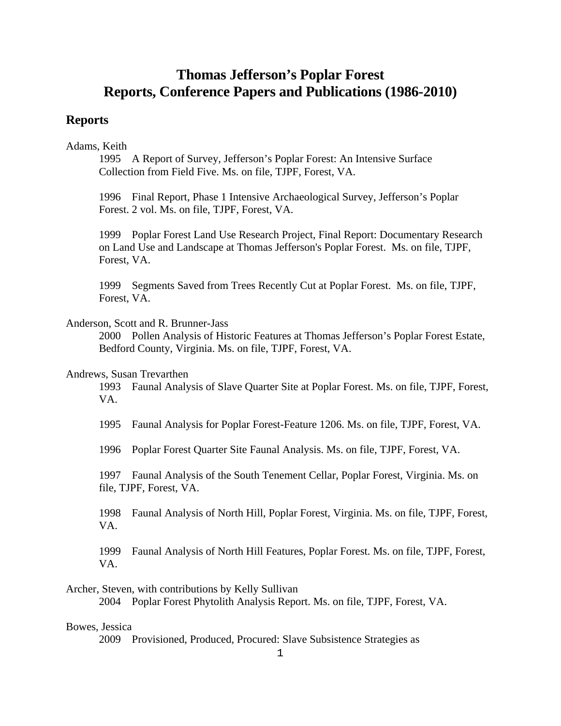# **Thomas Jefferson's Poplar Forest Reports, Conference Papers and Publications (1986-2010)**

# **Reports**

# Adams, Keith

1995 A Report of Survey, Jefferson's Poplar Forest: An Intensive Surface Collection from Field Five. Ms. on file, TJPF, Forest, VA.

1996 Final Report, Phase 1 Intensive Archaeological Survey, Jefferson's Poplar Forest. 2 vol. Ms. on file, TJPF, Forest, VA.

1999 Poplar Forest Land Use Research Project, Final Report: Documentary Research on Land Use and Landscape at Thomas Jefferson's Poplar Forest. Ms. on file, TJPF, Forest, VA.

1999 Segments Saved from Trees Recently Cut at Poplar Forest. Ms. on file, TJPF, Forest, VA.

# Anderson, Scott and R. Brunner-Jass

2000 Pollen Analysis of Historic Features at Thomas Jefferson's Poplar Forest Estate, Bedford County, Virginia. Ms. on file, TJPF, Forest, VA.

# Andrews, Susan Trevarthen

1993 Faunal Analysis of Slave Quarter Site at Poplar Forest. Ms. on file, TJPF, Forest, VA.

1995 Faunal Analysis for Poplar Forest-Feature 1206. Ms. on file, TJPF, Forest, VA.

1996 Poplar Forest Quarter Site Faunal Analysis. Ms. on file, TJPF, Forest, VA.

1997 Faunal Analysis of the South Tenement Cellar, Poplar Forest, Virginia. Ms. on file, TJPF, Forest, VA.

1998 Faunal Analysis of North Hill, Poplar Forest, Virginia. Ms. on file, TJPF, Forest, VA.

1999 Faunal Analysis of North Hill Features, Poplar Forest. Ms. on file, TJPF, Forest, VA.

Archer, Steven, with contributions by Kelly Sullivan

2004 Poplar Forest Phytolith Analysis Report. Ms. on file, TJPF, Forest, VA.

# Bowes, Jessica

2009 Provisioned, Produced, Procured: Slave Subsistence Strategies as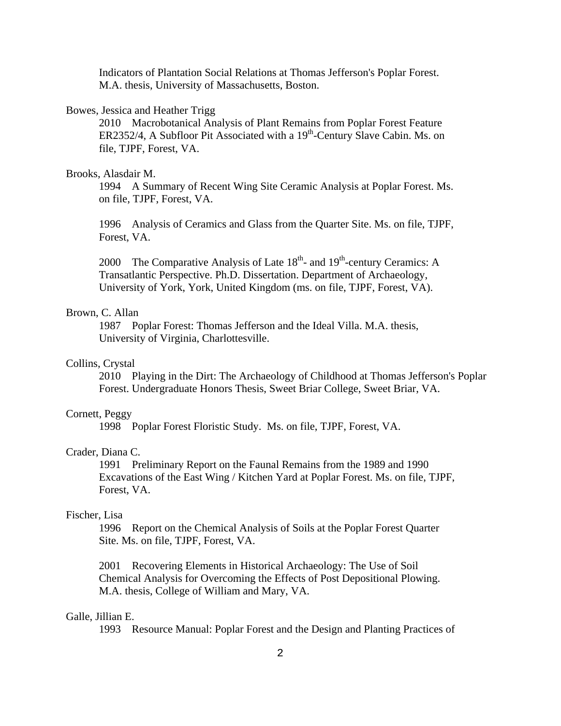Indicators of Plantation Social Relations at Thomas Jefferson's Poplar Forest. M.A. thesis, University of Massachusetts, Boston.

### Bowes, Jessica and Heather Trigg

2010 Macrobotanical Analysis of Plant Remains from Poplar Forest Feature ER2352/4, A Subfloor Pit Associated with a 19<sup>th</sup>-Century Slave Cabin. Ms. on file, TJPF, Forest, VA.

### Brooks, Alasdair M.

1994 A Summary of Recent Wing Site Ceramic Analysis at Poplar Forest. Ms. on file, TJPF, Forest, VA.

1996 Analysis of Ceramics and Glass from the Quarter Site. Ms. on file, TJPF, Forest, VA.

2000 The Comparative Analysis of Late  $18<sup>th</sup>$ - and  $19<sup>th</sup>$ -century Ceramics: A Transatlantic Perspective. Ph.D. Dissertation. Department of Archaeology, University of York, York, United Kingdom (ms. on file, TJPF, Forest, VA).

# Brown, C. Allan

1987 Poplar Forest: Thomas Jefferson and the Ideal Villa. M.A. thesis, University of Virginia, Charlottesville.

# Collins, Crystal

2010 Playing in the Dirt: The Archaeology of Childhood at Thomas Jefferson's Poplar Forest. Undergraduate Honors Thesis, Sweet Briar College, Sweet Briar, VA.

# Cornett, Peggy

1998 Poplar Forest Floristic Study. Ms. on file, TJPF, Forest, VA.

### Crader, Diana C.

1991 Preliminary Report on the Faunal Remains from the 1989 and 1990 Excavations of the East Wing / Kitchen Yard at Poplar Forest. Ms. on file, TJPF, Forest, VA.

# Fischer, Lisa

1996 Report on the Chemical Analysis of Soils at the Poplar Forest Quarter Site. Ms. on file, TJPF, Forest, VA.

2001 Recovering Elements in Historical Archaeology: The Use of Soil Chemical Analysis for Overcoming the Effects of Post Depositional Plowing. M.A. thesis, College of William and Mary, VA.

#### Galle, Jillian E.

1993 Resource Manual: Poplar Forest and the Design and Planting Practices of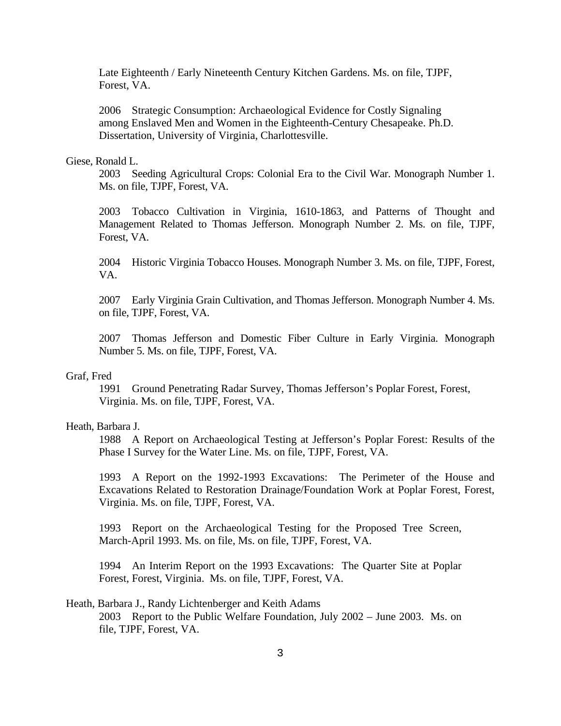Late Eighteenth / Early Nineteenth Century Kitchen Gardens. Ms. on file, TJPF, Forest, VA.

2006 Strategic Consumption: Archaeological Evidence for Costly Signaling among Enslaved Men and Women in the Eighteenth-Century Chesapeake. Ph.D. Dissertation, University of Virginia, Charlottesville.

# Giese, Ronald L.

2003 Seeding Agricultural Crops: Colonial Era to the Civil War. Monograph Number 1. Ms. on file, TJPF, Forest, VA.

2003 Tobacco Cultivation in Virginia, 1610-1863, and Patterns of Thought and Management Related to Thomas Jefferson. Monograph Number 2. Ms. on file, TJPF, Forest, VA.

2004 Historic Virginia Tobacco Houses. Monograph Number 3. Ms. on file, TJPF, Forest, VA.

2007 Early Virginia Grain Cultivation, and Thomas Jefferson. Monograph Number 4. Ms. on file, TJPF, Forest, VA.

2007 Thomas Jefferson and Domestic Fiber Culture in Early Virginia. Monograph Number 5. Ms. on file, TJPF, Forest, VA.

#### Graf, Fred

1991 Ground Penetrating Radar Survey, Thomas Jefferson's Poplar Forest, Forest, Virginia. Ms. on file, TJPF, Forest, VA.

#### Heath, Barbara J.

1988 A Report on Archaeological Testing at Jefferson's Poplar Forest: Results of the Phase I Survey for the Water Line. Ms. on file, TJPF, Forest, VA.

1993 A Report on the 1992-1993 Excavations: The Perimeter of the House and Excavations Related to Restoration Drainage/Foundation Work at Poplar Forest, Forest, Virginia. Ms. on file, TJPF, Forest, VA.

1993 Report on the Archaeological Testing for the Proposed Tree Screen, March-April 1993. Ms. on file, Ms. on file, TJPF, Forest, VA.

1994 An Interim Report on the 1993 Excavations: The Quarter Site at Poplar Forest, Forest, Virginia. Ms. on file, TJPF, Forest, VA.

# Heath, Barbara J., Randy Lichtenberger and Keith Adams 2003 Report to the Public Welfare Foundation, July 2002 – June 2003. Ms. on file, TJPF, Forest, VA.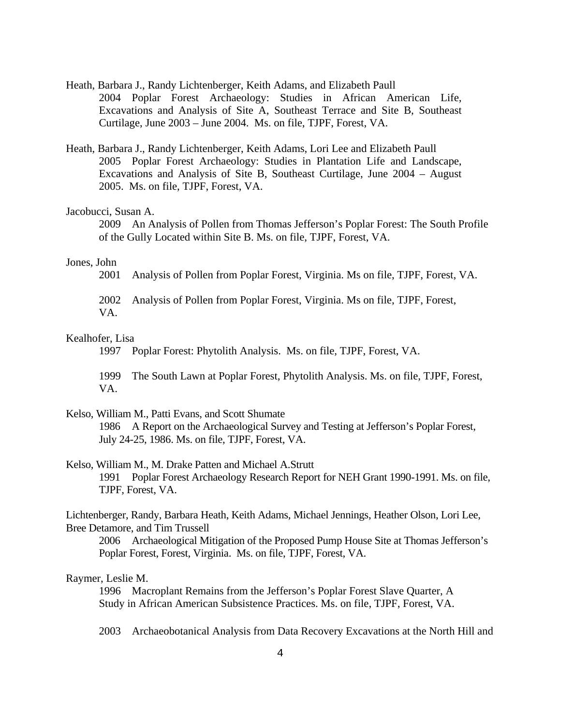- Heath, Barbara J., Randy Lichtenberger, Keith Adams, and Elizabeth Paull 2004 Poplar Forest Archaeology: Studies in African American Life, Excavations and Analysis of Site A, Southeast Terrace and Site B, Southeast Curtilage, June 2003 – June 2004. Ms. on file, TJPF, Forest, VA.
- Heath, Barbara J., Randy Lichtenberger, Keith Adams, Lori Lee and Elizabeth Paull 2005 Poplar Forest Archaeology: Studies in Plantation Life and Landscape, Excavations and Analysis of Site B, Southeast Curtilage, June 2004 – August 2005. Ms. on file, TJPF, Forest, VA.

# Jacobucci, Susan A.

2009 An Analysis of Pollen from Thomas Jefferson's Poplar Forest: The South Profile of the Gully Located within Site B. Ms. on file, TJPF, Forest, VA.

# Jones, John

- 2001 Analysis of Pollen from Poplar Forest, Virginia. Ms on file, TJPF, Forest, VA.
- 2002 Analysis of Pollen from Poplar Forest, Virginia. Ms on file, TJPF, Forest, VA.

# Kealhofer, Lisa

1997 Poplar Forest: Phytolith Analysis. Ms. on file, TJPF, Forest, VA.

1999 The South Lawn at Poplar Forest, Phytolith Analysis. Ms. on file, TJPF, Forest, VA.

#### Kelso, William M., Patti Evans, and Scott Shumate

1986 A Report on the Archaeological Survey and Testing at Jefferson's Poplar Forest, July 24-25, 1986. Ms. on file, TJPF, Forest, VA.

- Kelso, William M., M. Drake Patten and Michael A.Strutt 1991 Poplar Forest Archaeology Research Report for NEH Grant 1990-1991. Ms. on file, TJPF, Forest, VA.
- Lichtenberger, Randy, Barbara Heath, Keith Adams, Michael Jennings, Heather Olson, Lori Lee, Bree Detamore, and Tim Trussell
	- 2006 Archaeological Mitigation of the Proposed Pump House Site at Thomas Jefferson's Poplar Forest, Forest, Virginia. Ms. on file, TJPF, Forest, VA.

#### Raymer, Leslie M.

1996 Macroplant Remains from the Jefferson's Poplar Forest Slave Quarter, A Study in African American Subsistence Practices. Ms. on file, TJPF, Forest, VA.

2003 Archaeobotanical Analysis from Data Recovery Excavations at the North Hill and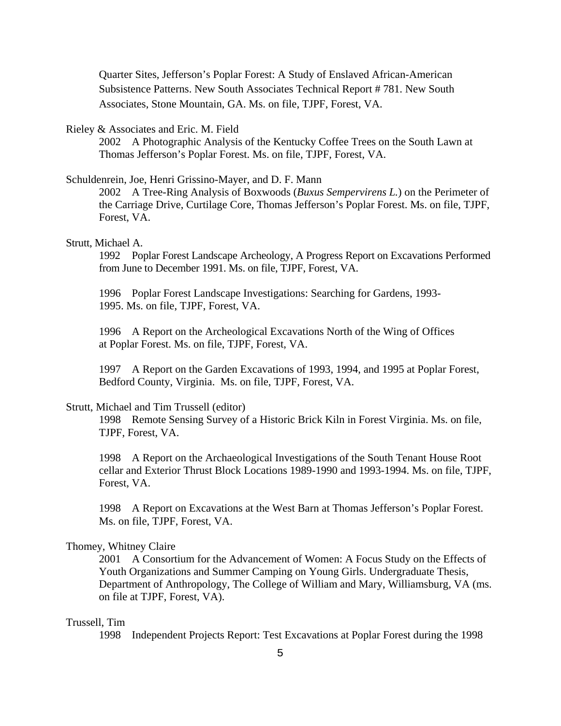Quarter Sites, Jefferson's Poplar Forest: A Study of Enslaved African-American Subsistence Patterns. New South Associates Technical Report # 781. New South Associates, Stone Mountain, GA. Ms. on file, TJPF, Forest, VA.

### Rieley & Associates and Eric. M. Field

2002 A Photographic Analysis of the Kentucky Coffee Trees on the South Lawn at Thomas Jefferson's Poplar Forest. Ms. on file, TJPF, Forest, VA.

# Schuldenrein, Joe, Henri Grissino-Mayer, and D. F. Mann

2002 A Tree-Ring Analysis of Boxwoods (*Buxus Sempervirens L.*) on the Perimeter of the Carriage Drive, Curtilage Core, Thomas Jefferson's Poplar Forest. Ms. on file, TJPF, Forest, VA.

# Strutt, Michael A.

1992 Poplar Forest Landscape Archeology, A Progress Report on Excavations Performed from June to December 1991. Ms. on file, TJPF, Forest, VA.

1996 Poplar Forest Landscape Investigations: Searching for Gardens, 1993- 1995. Ms. on file, TJPF, Forest, VA.

1996 A Report on the Archeological Excavations North of the Wing of Offices at Poplar Forest. Ms. on file, TJPF, Forest, VA.

1997 A Report on the Garden Excavations of 1993, 1994, and 1995 at Poplar Forest, Bedford County, Virginia. Ms. on file, TJPF, Forest, VA.

#### Strutt, Michael and Tim Trussell (editor)

1998 Remote Sensing Survey of a Historic Brick Kiln in Forest Virginia. Ms. on file, TJPF, Forest, VA.

1998 A Report on the Archaeological Investigations of the South Tenant House Root cellar and Exterior Thrust Block Locations 1989-1990 and 1993-1994. Ms. on file, TJPF, Forest, VA.

1998 A Report on Excavations at the West Barn at Thomas Jefferson's Poplar Forest. Ms. on file, TJPF, Forest, VA.

# Thomey, Whitney Claire

2001 A Consortium for the Advancement of Women: A Focus Study on the Effects of Youth Organizations and Summer Camping on Young Girls. Undergraduate Thesis, Department of Anthropology, The College of William and Mary, Williamsburg, VA (ms. on file at TJPF, Forest, VA).

### Trussell, Tim

1998 Independent Projects Report: Test Excavations at Poplar Forest during the 1998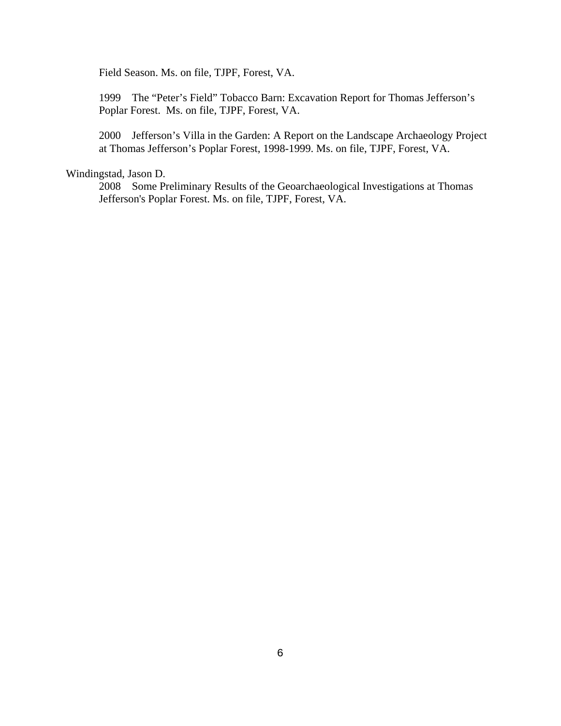Field Season. Ms. on file, TJPF, Forest, VA.

1999 The "Peter's Field" Tobacco Barn: Excavation Report for Thomas Jefferson's Poplar Forest. Ms. on file, TJPF, Forest, VA.

2000 Jefferson's Villa in the Garden: A Report on the Landscape Archaeology Project at Thomas Jefferson's Poplar Forest, 1998-1999. Ms. on file, TJPF, Forest, VA.

# Windingstad, Jason D.

2008 Some Preliminary Results of the Geoarchaeological Investigations at Thomas Jefferson's Poplar Forest. Ms. on file, TJPF, Forest, VA.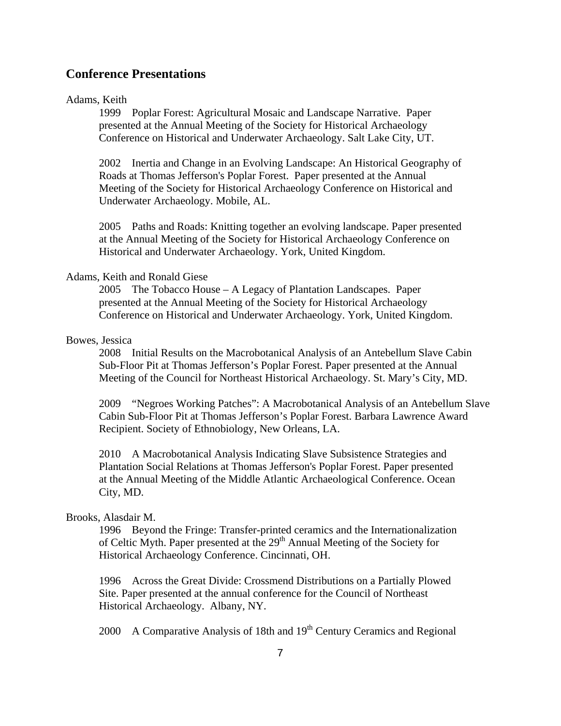# **Conference Presentations**

#### Adams, Keith

1999 Poplar Forest: Agricultural Mosaic and Landscape Narrative. Paper presented at the Annual Meeting of the Society for Historical Archaeology Conference on Historical and Underwater Archaeology. Salt Lake City, UT.

2002 Inertia and Change in an Evolving Landscape: An Historical Geography of Roads at Thomas Jefferson's Poplar Forest. Paper presented at the Annual Meeting of the Society for Historical Archaeology Conference on Historical and Underwater Archaeology. Mobile, AL.

2005 Paths and Roads: Knitting together an evolving landscape. Paper presented at the Annual Meeting of the Society for Historical Archaeology Conference on Historical and Underwater Archaeology. York, United Kingdom.

# Adams, Keith and Ronald Giese

2005 The Tobacco House – A Legacy of Plantation Landscapes. Paper presented at the Annual Meeting of the Society for Historical Archaeology Conference on Historical and Underwater Archaeology. York, United Kingdom.

# Bowes, Jessica

2008 Initial Results on the Macrobotanical Analysis of an Antebellum Slave Cabin Sub-Floor Pit at Thomas Jefferson's Poplar Forest. Paper presented at the Annual Meeting of the Council for Northeast Historical Archaeology. St. Mary's City, MD.

2009 "Negroes Working Patches": A Macrobotanical Analysis of an Antebellum Slave Cabin Sub-Floor Pit at Thomas Jefferson's Poplar Forest. Barbara Lawrence Award Recipient. Society of Ethnobiology, New Orleans, LA.

2010 A Macrobotanical Analysis Indicating Slave Subsistence Strategies and Plantation Social Relations at Thomas Jefferson's Poplar Forest. Paper presented at the Annual Meeting of the Middle Atlantic Archaeological Conference. Ocean City, MD.

# Brooks, Alasdair M.

1996 Beyond the Fringe: Transfer-printed ceramics and the Internationalization of Celtic Myth. Paper presented at the 29<sup>th</sup> Annual Meeting of the Society for Historical Archaeology Conference. Cincinnati, OH.

1996 Across the Great Divide: Crossmend Distributions on a Partially Plowed Site. Paper presented at the annual conference for the Council of Northeast Historical Archaeology. Albany, NY.

2000 A Comparative Analysis of 18th and  $19<sup>th</sup>$  Century Ceramics and Regional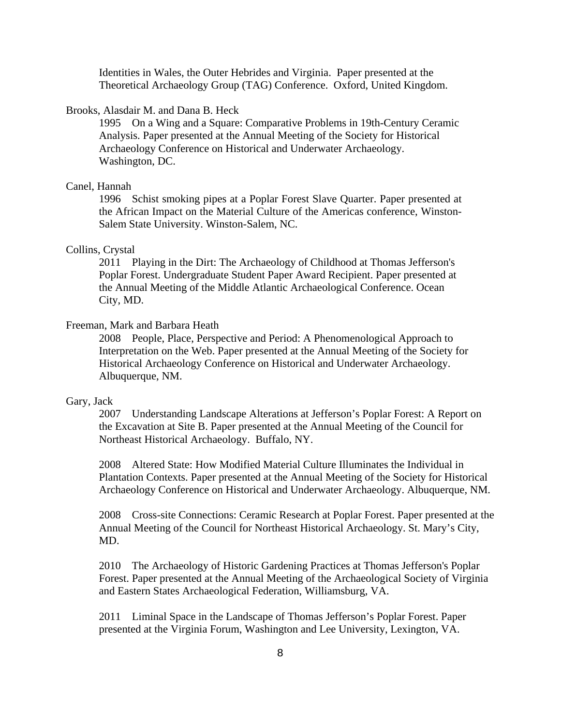Identities in Wales, the Outer Hebrides and Virginia. Paper presented at the Theoretical Archaeology Group (TAG) Conference. Oxford, United Kingdom.

### Brooks, Alasdair M. and Dana B. Heck

1995 On a Wing and a Square: Comparative Problems in 19th-Century Ceramic Analysis. Paper presented at the Annual Meeting of the Society for Historical Archaeology Conference on Historical and Underwater Archaeology. Washington, DC.

# Canel, Hannah

1996 Schist smoking pipes at a Poplar Forest Slave Quarter. Paper presented at the African Impact on the Material Culture of the Americas conference, Winston-Salem State University. Winston-Salem, NC.

# Collins, Crystal

2011 Playing in the Dirt: The Archaeology of Childhood at Thomas Jefferson's Poplar Forest. Undergraduate Student Paper Award Recipient. Paper presented at the Annual Meeting of the Middle Atlantic Archaeological Conference. Ocean City, MD.

### Freeman, Mark and Barbara Heath

2008 People, Place, Perspective and Period: A Phenomenological Approach to Interpretation on the Web. Paper presented at the Annual Meeting of the Society for Historical Archaeology Conference on Historical and Underwater Archaeology. Albuquerque, NM.

#### Gary, Jack

2007 Understanding Landscape Alterations at Jefferson's Poplar Forest: A Report on the Excavation at Site B. Paper presented at the Annual Meeting of the Council for Northeast Historical Archaeology. Buffalo, NY.

2008 Altered State: How Modified Material Culture Illuminates the Individual in Plantation Contexts. Paper presented at the Annual Meeting of the Society for Historical Archaeology Conference on Historical and Underwater Archaeology. Albuquerque, NM.

2008 Cross-site Connections: Ceramic Research at Poplar Forest. Paper presented at the Annual Meeting of the Council for Northeast Historical Archaeology. St. Mary's City, MD.

2010 The Archaeology of Historic Gardening Practices at Thomas Jefferson's Poplar Forest. Paper presented at the Annual Meeting of the Archaeological Society of Virginia and Eastern States Archaeological Federation, Williamsburg, VA.

2011 Liminal Space in the Landscape of Thomas Jefferson's Poplar Forest. Paper presented at the Virginia Forum, Washington and Lee University, Lexington, VA.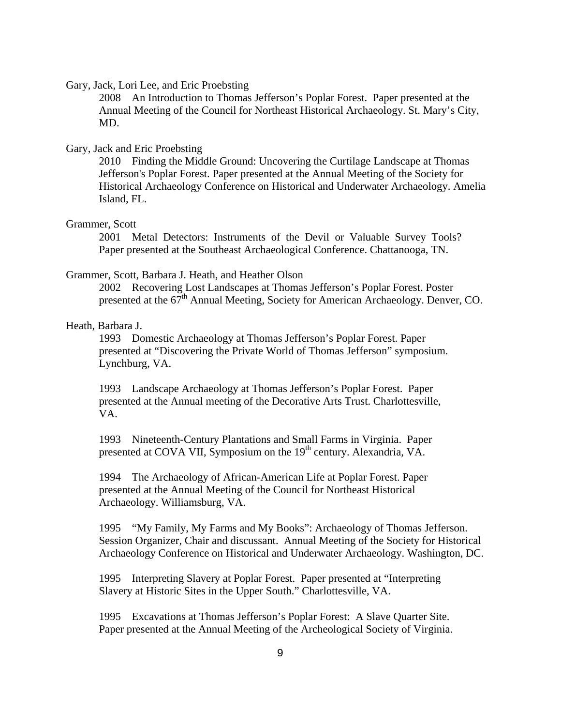### Gary, Jack, Lori Lee, and Eric Proebsting

2008 An Introduction to Thomas Jefferson's Poplar Forest. Paper presented at the Annual Meeting of the Council for Northeast Historical Archaeology. St. Mary's City, MD.

# Gary, Jack and Eric Proebsting

2010 Finding the Middle Ground: Uncovering the Curtilage Landscape at Thomas Jefferson's Poplar Forest. Paper presented at the Annual Meeting of the Society for Historical Archaeology Conference on Historical and Underwater Archaeology. Amelia Island, FL.

#### Grammer, Scott

2001 Metal Detectors: Instruments of the Devil or Valuable Survey Tools? Paper presented at the Southeast Archaeological Conference. Chattanooga, TN.

# Grammer, Scott, Barbara J. Heath, and Heather Olson

2002 Recovering Lost Landscapes at Thomas Jefferson's Poplar Forest. Poster presented at the 67<sup>th</sup> Annual Meeting, Society for American Archaeology. Denver, CO.

# Heath, Barbara J.

1993 Domestic Archaeology at Thomas Jefferson's Poplar Forest. Paper presented at "Discovering the Private World of Thomas Jefferson" symposium. Lynchburg, VA.

1993 Landscape Archaeology at Thomas Jefferson's Poplar Forest. Paper presented at the Annual meeting of the Decorative Arts Trust. Charlottesville, VA.

1993 Nineteenth-Century Plantations and Small Farms in Virginia. Paper presented at COVA VII, Symposium on the 19<sup>th</sup> century. Alexandria, VA.

1994 The Archaeology of African-American Life at Poplar Forest. Paper presented at the Annual Meeting of the Council for Northeast Historical Archaeology. Williamsburg, VA.

1995 "My Family, My Farms and My Books": Archaeology of Thomas Jefferson. Session Organizer, Chair and discussant. Annual Meeting of the Society for Historical Archaeology Conference on Historical and Underwater Archaeology. Washington, DC.

1995 Interpreting Slavery at Poplar Forest. Paper presented at "Interpreting Slavery at Historic Sites in the Upper South." Charlottesville, VA.

1995 Excavations at Thomas Jefferson's Poplar Forest: A Slave Quarter Site. Paper presented at the Annual Meeting of the Archeological Society of Virginia.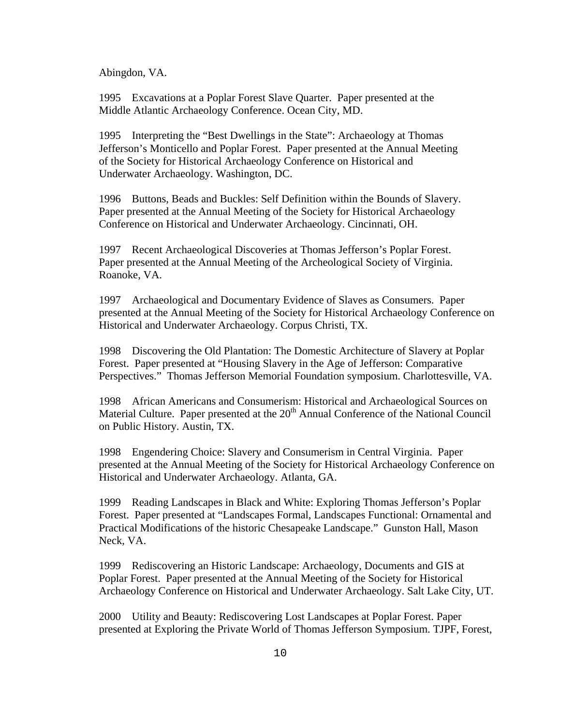Abingdon, VA.

1995 Excavations at a Poplar Forest Slave Quarter. Paper presented at the Middle Atlantic Archaeology Conference. Ocean City, MD.

1995 Interpreting the "Best Dwellings in the State": Archaeology at Thomas Jefferson's Monticello and Poplar Forest. Paper presented at the Annual Meeting of the Society for Historical Archaeology Conference on Historical and Underwater Archaeology. Washington, DC.

1996 Buttons, Beads and Buckles: Self Definition within the Bounds of Slavery. Paper presented at the Annual Meeting of the Society for Historical Archaeology Conference on Historical and Underwater Archaeology. Cincinnati, OH.

1997 Recent Archaeological Discoveries at Thomas Jefferson's Poplar Forest. Paper presented at the Annual Meeting of the Archeological Society of Virginia. Roanoke, VA.

1997 Archaeological and Documentary Evidence of Slaves as Consumers. Paper presented at the Annual Meeting of the Society for Historical Archaeology Conference on Historical and Underwater Archaeology. Corpus Christi, TX.

1998 Discovering the Old Plantation: The Domestic Architecture of Slavery at Poplar Forest. Paper presented at "Housing Slavery in the Age of Jefferson: Comparative Perspectives." Thomas Jefferson Memorial Foundation symposium. Charlottesville, VA.

1998 African Americans and Consumerism: Historical and Archaeological Sources on Material Culture. Paper presented at the 20<sup>th</sup> Annual Conference of the National Council on Public History. Austin, TX.

1998 Engendering Choice: Slavery and Consumerism in Central Virginia. Paper presented at the Annual Meeting of the Society for Historical Archaeology Conference on Historical and Underwater Archaeology. Atlanta, GA.

1999 Reading Landscapes in Black and White: Exploring Thomas Jefferson's Poplar Forest. Paper presented at "Landscapes Formal, Landscapes Functional: Ornamental and Practical Modifications of the historic Chesapeake Landscape." Gunston Hall, Mason Neck, VA.

1999 Rediscovering an Historic Landscape: Archaeology, Documents and GIS at Poplar Forest. Paper presented at the Annual Meeting of the Society for Historical Archaeology Conference on Historical and Underwater Archaeology. Salt Lake City, UT.

2000 Utility and Beauty: Rediscovering Lost Landscapes at Poplar Forest. Paper presented at Exploring the Private World of Thomas Jefferson Symposium. TJPF, Forest,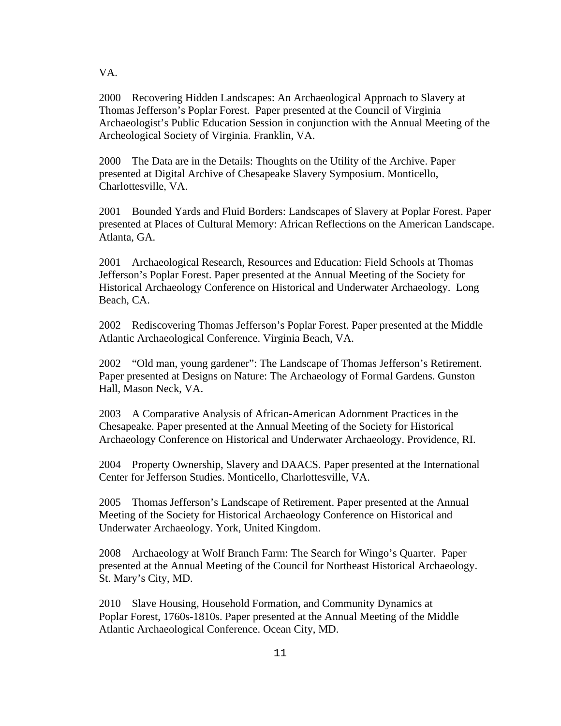VA.

2000 Recovering Hidden Landscapes: An Archaeological Approach to Slavery at Thomas Jefferson's Poplar Forest. Paper presented at the Council of Virginia Archaeologist's Public Education Session in conjunction with the Annual Meeting of the Archeological Society of Virginia. Franklin, VA.

2000 The Data are in the Details: Thoughts on the Utility of the Archive. Paper presented at Digital Archive of Chesapeake Slavery Symposium. Monticello, Charlottesville, VA.

2001 Bounded Yards and Fluid Borders: Landscapes of Slavery at Poplar Forest. Paper presented at Places of Cultural Memory: African Reflections on the American Landscape. Atlanta, GA.

2001 Archaeological Research, Resources and Education: Field Schools at Thomas Jefferson's Poplar Forest. Paper presented at the Annual Meeting of the Society for Historical Archaeology Conference on Historical and Underwater Archaeology. Long Beach, CA.

2002 Rediscovering Thomas Jefferson's Poplar Forest. Paper presented at the Middle Atlantic Archaeological Conference. Virginia Beach, VA.

2002 "Old man, young gardener": The Landscape of Thomas Jefferson's Retirement. Paper presented at Designs on Nature: The Archaeology of Formal Gardens. Gunston Hall, Mason Neck, VA.

2003 A Comparative Analysis of African-American Adornment Practices in the Chesapeake. Paper presented at the Annual Meeting of the Society for Historical Archaeology Conference on Historical and Underwater Archaeology. Providence, RI.

2004 Property Ownership, Slavery and DAACS. Paper presented at the International Center for Jefferson Studies. Monticello, Charlottesville, VA.

2005 Thomas Jefferson's Landscape of Retirement. Paper presented at the Annual Meeting of the Society for Historical Archaeology Conference on Historical and Underwater Archaeology. York, United Kingdom.

2008 Archaeology at Wolf Branch Farm: The Search for Wingo's Quarter. Paper presented at the Annual Meeting of the Council for Northeast Historical Archaeology. St. Mary's City, MD.

2010 Slave Housing, Household Formation, and Community Dynamics at Poplar Forest, 1760s-1810s. Paper presented at the Annual Meeting of the Middle Atlantic Archaeological Conference. Ocean City, MD.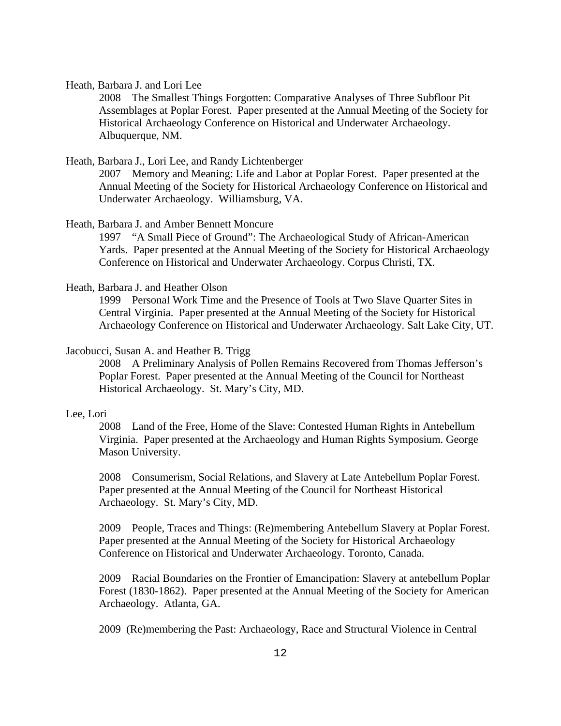Heath, Barbara J. and Lori Lee

 2008 The Smallest Things Forgotten: Comparative Analyses of Three Subfloor Pit Assemblages at Poplar Forest. Paper presented at the Annual Meeting of the Society for Historical Archaeology Conference on Historical and Underwater Archaeology. Albuquerque, NM.

# Heath, Barbara J., Lori Lee, and Randy Lichtenberger

 2007 Memory and Meaning: Life and Labor at Poplar Forest. Paper presented at the Annual Meeting of the Society for Historical Archaeology Conference on Historical and Underwater Archaeology. Williamsburg, VA.

### Heath, Barbara J. and Amber Bennett Moncure

1997 "A Small Piece of Ground": The Archaeological Study of African-American Yards. Paper presented at the Annual Meeting of the Society for Historical Archaeology Conference on Historical and Underwater Archaeology. Corpus Christi, TX.

### Heath, Barbara J. and Heather Olson

1999 Personal Work Time and the Presence of Tools at Two Slave Quarter Sites in Central Virginia. Paper presented at the Annual Meeting of the Society for Historical Archaeology Conference on Historical and Underwater Archaeology. Salt Lake City, UT.

#### Jacobucci, Susan A. and Heather B. Trigg

2008 A Preliminary Analysis of Pollen Remains Recovered from Thomas Jefferson's Poplar Forest. Paper presented at the Annual Meeting of the Council for Northeast Historical Archaeology. St. Mary's City, MD.

#### Lee, Lori

 2008 Land of the Free, Home of the Slave: Contested Human Rights in Antebellum Virginia. Paper presented at the Archaeology and Human Rights Symposium. George Mason University.

2008 Consumerism, Social Relations, and Slavery at Late Antebellum Poplar Forest. Paper presented at the Annual Meeting of the Council for Northeast Historical Archaeology. St. Mary's City, MD.

2009 People, Traces and Things: (Re)membering Antebellum Slavery at Poplar Forest. Paper presented at the Annual Meeting of the Society for Historical Archaeology Conference on Historical and Underwater Archaeology. Toronto, Canada.

2009 Racial Boundaries on the Frontier of Emancipation: Slavery at antebellum Poplar Forest (1830-1862). Paper presented at the Annual Meeting of the Society for American Archaeology. Atlanta, GA.

2009 (Re)membering the Past: Archaeology, Race and Structural Violence in Central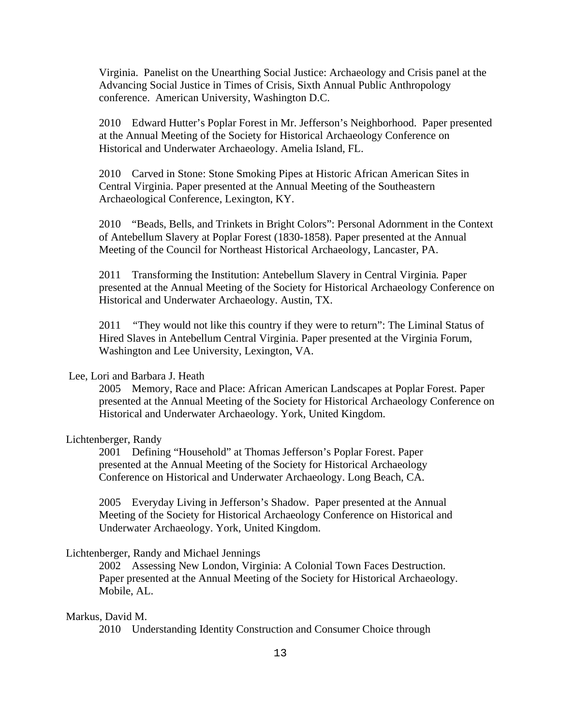Virginia.Panelist on the Unearthing Social Justice: Archaeology and Crisis panel at the Advancing Social Justice in Times of Crisis, Sixth Annual Public Anthropology conference. American University, Washington D.C.

2010 Edward Hutter's Poplar Forest in Mr. Jefferson's Neighborhood. Paper presented at the Annual Meeting of the Society for Historical Archaeology Conference on Historical and Underwater Archaeology. Amelia Island, FL.

2010 Carved in Stone: Stone Smoking Pipes at Historic African American Sites in Central Virginia. Paper presented at the Annual Meeting of the Southeastern Archaeological Conference, Lexington, KY.

2010 "Beads, Bells, and Trinkets in Bright Colors": Personal Adornment in the Context of Antebellum Slavery at Poplar Forest (1830-1858). Paper presented at the Annual Meeting of the Council for Northeast Historical Archaeology, Lancaster, PA.

2011 Transforming the Institution: Antebellum Slavery in Central Virginia*.* Paper presented at the Annual Meeting of the Society for Historical Archaeology Conference on Historical and Underwater Archaeology. Austin, TX.

2011 *"*They would not like this country if they were to return": The Liminal Status of Hired Slaves in Antebellum Central Virginia. Paper presented at the Virginia Forum, Washington and Lee University, Lexington, VA.

# Lee, Lori and Barbara J. Heath

2005 Memory, Race and Place: African American Landscapes at Poplar Forest. Paper presented at the Annual Meeting of the Society for Historical Archaeology Conference on Historical and Underwater Archaeology. York, United Kingdom.

# Lichtenberger, Randy

2001 Defining "Household" at Thomas Jefferson's Poplar Forest. Paper presented at the Annual Meeting of the Society for Historical Archaeology Conference on Historical and Underwater Archaeology. Long Beach, CA.

2005 Everyday Living in Jefferson's Shadow. Paper presented at the Annual Meeting of the Society for Historical Archaeology Conference on Historical and Underwater Archaeology. York, United Kingdom.

#### Lichtenberger, Randy and Michael Jennings

2002 Assessing New London, Virginia: A Colonial Town Faces Destruction. Paper presented at the Annual Meeting of the Society for Historical Archaeology. Mobile, AL.

#### Markus, David M.

2010 Understanding Identity Construction and Consumer Choice through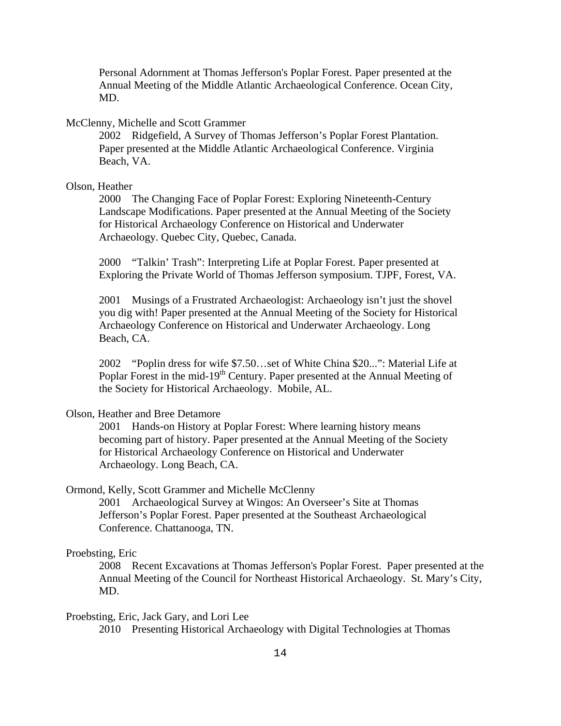Personal Adornment at Thomas Jefferson's Poplar Forest. Paper presented at the Annual Meeting of the Middle Atlantic Archaeological Conference. Ocean City, MD.

# McClenny, Michelle and Scott Grammer

2002 Ridgefield, A Survey of Thomas Jefferson's Poplar Forest Plantation. Paper presented at the Middle Atlantic Archaeological Conference. Virginia Beach, VA.

# Olson, Heather

2000 The Changing Face of Poplar Forest: Exploring Nineteenth-Century Landscape Modifications. Paper presented at the Annual Meeting of the Society for Historical Archaeology Conference on Historical and Underwater Archaeology. Quebec City, Quebec, Canada.

2000 "Talkin' Trash": Interpreting Life at Poplar Forest. Paper presented at Exploring the Private World of Thomas Jefferson symposium. TJPF, Forest, VA.

2001 Musings of a Frustrated Archaeologist: Archaeology isn't just the shovel you dig with! Paper presented at the Annual Meeting of the Society for Historical Archaeology Conference on Historical and Underwater Archaeology. Long Beach, CA.

2002 "Poplin dress for wife \$7.50…set of White China \$20...": Material Life at Poplar Forest in the mid-19<sup>th</sup> Century. Paper presented at the Annual Meeting of the Society for Historical Archaeology. Mobile, AL.

# Olson, Heather and Bree Detamore

2001 Hands-on History at Poplar Forest: Where learning history means becoming part of history. Paper presented at the Annual Meeting of the Society for Historical Archaeology Conference on Historical and Underwater Archaeology. Long Beach, CA.

# Ormond, Kelly, Scott Grammer and Michelle McClenny

2001 Archaeological Survey at Wingos: An Overseer's Site at Thomas Jefferson's Poplar Forest. Paper presented at the Southeast Archaeological Conference. Chattanooga, TN.

#### Proebsting, Eric

2008 Recent Excavations at Thomas Jefferson's Poplar Forest. Paper presented at the Annual Meeting of the Council for Northeast Historical Archaeology. St. Mary's City, MD.

# Proebsting, Eric, Jack Gary, and Lori Lee

2010 Presenting Historical Archaeology with Digital Technologies at Thomas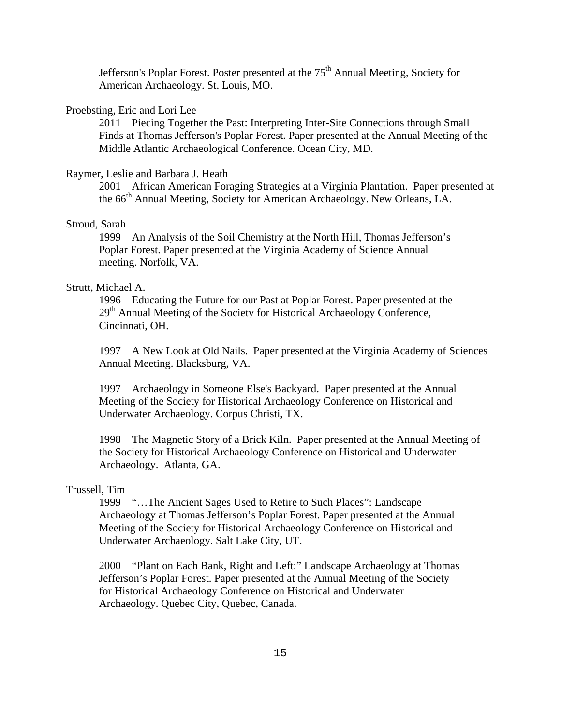Jefferson's Poplar Forest. Poster presented at the  $75<sup>th</sup>$  Annual Meeting, Society for American Archaeology. St. Louis, MO.

# Proebsting, Eric and Lori Lee

2011 Piecing Together the Past: Interpreting Inter-Site Connections through Small Finds at Thomas Jefferson's Poplar Forest. Paper presented at the Annual Meeting of the Middle Atlantic Archaeological Conference. Ocean City, MD.

#### Raymer, Leslie and Barbara J. Heath

2001 African American Foraging Strategies at a Virginia Plantation. Paper presented at the 66<sup>th</sup> Annual Meeting, Society for American Archaeology. New Orleans, LA.

# Stroud, Sarah

1999 An Analysis of the Soil Chemistry at the North Hill, Thomas Jefferson's Poplar Forest. Paper presented at the Virginia Academy of Science Annual meeting. Norfolk, VA.

#### Strutt, Michael A.

1996 Educating the Future for our Past at Poplar Forest. Paper presented at the  $29<sup>th</sup>$  Annual Meeting of the Society for Historical Archaeology Conference, Cincinnati, OH.

1997 A New Look at Old Nails. Paper presented at the Virginia Academy of Sciences Annual Meeting. Blacksburg, VA.

1997 Archaeology in Someone Else's Backyard. Paper presented at the Annual Meeting of the Society for Historical Archaeology Conference on Historical and Underwater Archaeology. Corpus Christi, TX.

1998 The Magnetic Story of a Brick Kiln. Paper presented at the Annual Meeting of the Society for Historical Archaeology Conference on Historical and Underwater Archaeology. Atlanta, GA.

# Trussell, Tim

1999 "…The Ancient Sages Used to Retire to Such Places": Landscape Archaeology at Thomas Jefferson's Poplar Forest. Paper presented at the Annual Meeting of the Society for Historical Archaeology Conference on Historical and Underwater Archaeology. Salt Lake City, UT.

2000 "Plant on Each Bank, Right and Left:" Landscape Archaeology at Thomas Jefferson's Poplar Forest. Paper presented at the Annual Meeting of the Society for Historical Archaeology Conference on Historical and Underwater Archaeology. Quebec City, Quebec, Canada.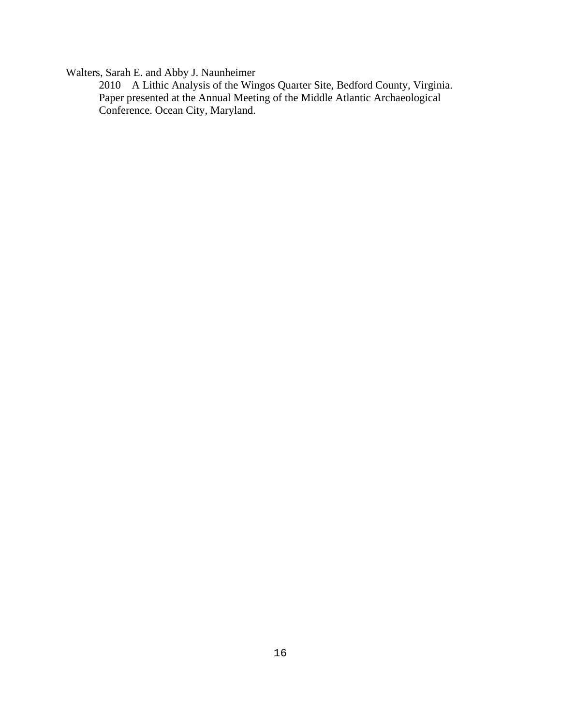Walters, Sarah E. and Abby J. Naunheimer

2010 A Lithic Analysis of the Wingos Quarter Site, Bedford County, Virginia. Paper presented at the Annual Meeting of the Middle Atlantic Archaeological Conference. Ocean City, Maryland.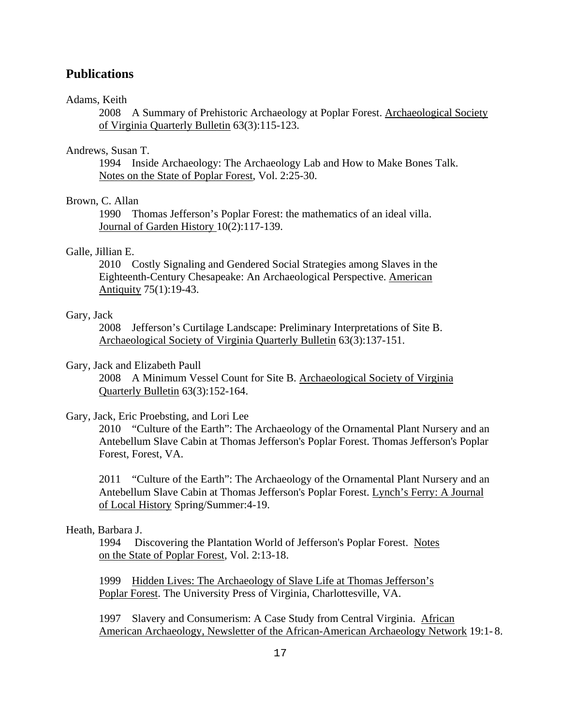# **Publications**

# Adams, Keith

2008 A Summary of Prehistoric Archaeology at Poplar Forest. Archaeological Society of Virginia Quarterly Bulletin 63(3):115-123.

# Andrews, Susan T.

1994 Inside Archaeology: The Archaeology Lab and How to Make Bones Talk. Notes on the State of Poplar Forest, Vol. 2:25-30.

# Brown, C. Allan

1990 Thomas Jefferson's Poplar Forest: the mathematics of an ideal villa. Journal of Garden History 10(2):117-139.

### Galle, Jillian E.

2010 Costly Signaling and Gendered Social Strategies among Slaves in the Eighteenth-Century Chesapeake: An Archaeological Perspective. American Antiquity 75(1):19-43.

# Gary, Jack

2008 Jefferson's Curtilage Landscape: Preliminary Interpretations of Site B. Archaeological Society of Virginia Quarterly Bulletin 63(3):137-151.

# Gary, Jack and Elizabeth Paull

2008 A Minimum Vessel Count for Site B. Archaeological Society of Virginia Quarterly Bulletin 63(3):152-164.

### Gary, Jack, Eric Proebsting, and Lori Lee

2010 "Culture of the Earth": The Archaeology of the Ornamental Plant Nursery and an Antebellum Slave Cabin at Thomas Jefferson's Poplar Forest. Thomas Jefferson's Poplar Forest, Forest, VA.

2011 "Culture of the Earth": The Archaeology of the Ornamental Plant Nursery and an Antebellum Slave Cabin at Thomas Jefferson's Poplar Forest. Lynch's Ferry: A Journal of Local History Spring/Summer:4-19.

# Heath, Barbara J.

1994 Discovering the Plantation World of Jefferson's Poplar Forest. Notes on the State of Poplar Forest, Vol. 2:13-18.

1999 Hidden Lives: The Archaeology of Slave Life at Thomas Jefferson's Poplar Forest. The University Press of Virginia, Charlottesville, VA.

1997 Slavery and Consumerism: A Case Study from Central Virginia. African American Archaeology, Newsletter of the African-American Archaeology Network 19:1- 8.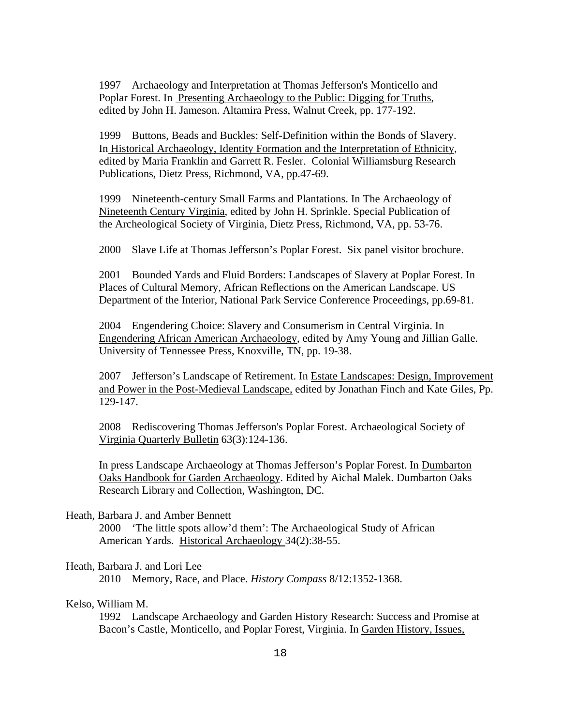1997 Archaeology and Interpretation at Thomas Jefferson's Monticello and Poplar Forest. In Presenting Archaeology to the Public: Digging for Truths, edited by John H. Jameson. Altamira Press, Walnut Creek, pp. 177-192.

1999 Buttons, Beads and Buckles: Self-Definition within the Bonds of Slavery. In Historical Archaeology, Identity Formation and the Interpretation of Ethnicity, edited by Maria Franklin and Garrett R. Fesler. Colonial Williamsburg Research Publications, Dietz Press, Richmond, VA, pp.47-69.

1999 Nineteenth-century Small Farms and Plantations. In The Archaeology of Nineteenth Century Virginia, edited by John H. Sprinkle. Special Publication of the Archeological Society of Virginia, Dietz Press, Richmond, VA, pp. 53-76.

2000 Slave Life at Thomas Jefferson's Poplar Forest. Six panel visitor brochure.

2001 Bounded Yards and Fluid Borders: Landscapes of Slavery at Poplar Forest. In Places of Cultural Memory, African Reflections on the American Landscape. US Department of the Interior, National Park Service Conference Proceedings, pp.69-81.

2004Engendering Choice: Slavery and Consumerism in Central Virginia. In Engendering African American Archaeology, edited by Amy Young and Jillian Galle. University of Tennessee Press, Knoxville, TN, pp. 19-38.

2007 Jefferson's Landscape of Retirement. In Estate Landscapes: Design, Improvement and Power in the Post-Medieval Landscape, edited by Jonathan Finch and Kate Giles, Pp. 129-147.

2008 Rediscovering Thomas Jefferson's Poplar Forest. Archaeological Society of Virginia Quarterly Bulletin 63(3):124-136.

In press Landscape Archaeology at Thomas Jefferson's Poplar Forest. In Dumbarton Oaks Handbook for Garden Archaeology. Edited by Aichal Malek. Dumbarton Oaks Research Library and Collection, Washington, DC.

#### Heath, Barbara J. and Amber Bennett

2000 'The little spots allow'd them': The Archaeological Study of African American Yards. Historical Archaeology 34(2):38-55.

# Heath, Barbara J. and Lori Lee

2010 Memory, Race, and Place. *History Compass* 8/12:1352-1368.

# Kelso, William M.

1992 Landscape Archaeology and Garden History Research: Success and Promise at Bacon's Castle, Monticello, and Poplar Forest, Virginia. In Garden History, Issues,